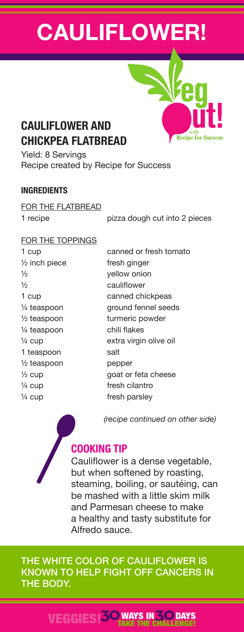# **CAULIFLOWER!**



## **CAULIFLOWER AND CHICKPEA FLATBREAD**

Yield: 8 Servings Recipe created by Recipe for Success

## **INGREDIENTS**

FOR THE FLATBREAD

1 recipe **pizza dough cut into 2 pieces** 

### FOR THE TOPPINGS

 $\frac{1}{2}$  inch piece fresh ginger ½ yellow onion ½ cauliflower ¼ teaspoon chili flakes 1 teaspoon salt  $\frac{1}{2}$  teaspoon pepper  $\frac{1}{4}$  cup fresh cilantro  $\frac{1}{4}$  cup fresh parsley

1 cup canned or fresh tomato 1 cup canned chickpeas ¼ teaspoon ground fennel seeds 1/2 teaspoon turmeric powder ¼ cup extra virgin olive oil ½ cup goat or feta cheese

 *(recipe continued on other side)*



## **COOKING TIP**

Cauliflower is a dense vegetable, but when softened by roasting, steaming, boiling, or sautéing, can be mashed with a little skim milk and Parmesan cheese to make a healthy and tasty substitute for Alfredo sauce.

THE WHITE COLOR OF CAULIFLOWER IS KNOWN TO HELP FIGHT OFF CANCERS IN THE BODY.